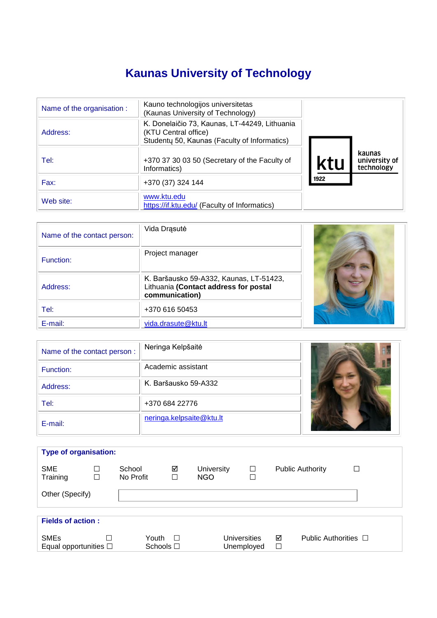# **Kaunas University of Technology**

| Name of the organisation : | Kauno technologijos universitetas<br>(Kaunas University of Technology)                                                |      |                                       |
|----------------------------|-----------------------------------------------------------------------------------------------------------------------|------|---------------------------------------|
| Address:                   | K. Donelaičio 73, Kaunas, LT-44249, Lithuania<br>(KTU Central office)<br>Studenty 50, Kaunas (Faculty of Informatics) |      |                                       |
| Tel:                       | +370 37 30 03 50 (Secretary of the Faculty of<br>Informatics)                                                         | Ktl  | kaunas<br>university of<br>technology |
| Fax:                       | +370 (37) 324 144                                                                                                     | 1922 |                                       |
| Web site:                  | www.ktu.edu<br>https://if.ktu.edu/ (Faculty of Informatics)                                                           |      |                                       |

| Name of the contact person: | Vida Drąsutė                                                                                       |  |
|-----------------------------|----------------------------------------------------------------------------------------------------|--|
| Function:                   | Project manager                                                                                    |  |
| Address:                    | K. Baršausko 59-A332, Kaunas, LT-51423,<br>Lithuania (Contact address for postal<br>communication) |  |
| Tel:                        | +370 616 50453                                                                                     |  |
| E-mail:                     | vida.drasute@ktu.lt                                                                                |  |

| Name of the contact person: | Neringa Kelpšaitė        |  |
|-----------------------------|--------------------------|--|
| Function:                   | Academic assistant       |  |
| Address:                    | K. Baršausko 59-A332     |  |
| Tel:                        | +370 684 22776           |  |
| E-mail:                     | neringa.kelpsaite@ktu.lt |  |

| <b>Type of organisation:</b>              |                  |                     |                                |                                 |                                    |             |                           |   |
|-------------------------------------------|------------------|---------------------|--------------------------------|---------------------------------|------------------------------------|-------------|---------------------------|---|
| <b>SME</b><br>Training                    | $\Box$<br>$\Box$ | School<br>No Profit | ☑<br>□                         | <b>University</b><br><b>NGO</b> | $\Box$<br>$\overline{\phantom{a}}$ |             | <b>Public Authority</b>   | П |
| Other (Specify)                           |                  |                     |                                |                                 |                                    |             |                           |   |
|                                           |                  |                     |                                |                                 |                                    |             |                           |   |
| <b>Fields of action:</b>                  |                  |                     |                                |                                 |                                    |             |                           |   |
| <b>SMEs</b><br>Equal opportunities $\Box$ | П                |                     | Youth $\Box$<br>Schools $\Box$ |                                 | Universities<br>Unemployed         | ☑<br>$\Box$ | Public Authorities $\Box$ |   |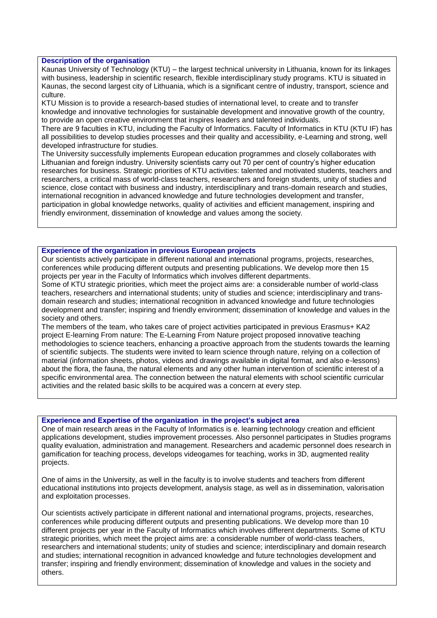## **Description of the organisation**

Kaunas University of Technology (KTU) – the largest technical university in Lithuania, known for its linkages with business, leadership in scientific research, flexible interdisciplinary study programs. KTU is situated in Kaunas, the second largest city of Lithuania, which is a significant centre of industry, transport, science and culture.

KTU Mission is to provide a research-based studies of international level, to create and to transfer knowledge and innovative technologies for sustainable development and innovative growth of the country, to provide an open creative environment that inspires leaders and talented individuals.

There are 9 faculties in KTU, including the Faculty of Informatics. Faculty of Informatics in KTU (KTU IF) has all possibilities to develop studies processes and their quality and accessibility, e-Learning and strong, well developed infrastructure for studies.

The University successfully implements European education programmes and closely collaborates with Lithuanian and foreign industry. University scientists carry out 70 per cent of country's higher education researches for business. Strategic priorities of KTU activities: talented and motivated students, teachers and researchers, a critical mass of world-class teachers, researchers and foreign students, unity of studies and science, close contact with business and industry, interdisciplinary and trans-domain research and studies, international recognition in advanced knowledge and future technologies development and transfer, participation in global knowledge networks, quality of activities and efficient management, inspiring and friendly environment, dissemination of knowledge and values among the society.

## **Experience of the organization in previous European projects**

Our scientists actively participate in different national and international programs, projects, researches, conferences while producing different outputs and presenting publications. We develop more then 15 projects per year in the Faculty of Informatics which involves different departments.

Some of KTU strategic priorities, which meet the project aims are: a considerable number of world-class teachers, researchers and international students; unity of studies and science; interdisciplinary and transdomain research and studies; international recognition in advanced knowledge and future technologies development and transfer; inspiring and friendly environment; dissemination of knowledge and values in the society and others.

The members of the team, who takes care of project activities participated in previous Erasmus+ KA2 project E-learning From nature: The E-Learning From Nature project proposed innovative teaching methodologies to science teachers, enhancing a proactive approach from the students towards the learning of scientific subjects. The students were invited to learn science through nature, relying on a collection of material (information sheets, photos, videos and drawings available in digital format, and also e-lessons) about the flora, the fauna, the natural elements and any other human intervention of scientific interest of a specific environmental area. The connection between the natural elements with school scientific curricular activities and the related basic skills to be acquired was a concern at every step.

#### **Experience and Expertise of the organization in the project's subject area**

One of main research areas in the Faculty of Informatics is e. learning technology creation and efficient applications development, studies improvement processes. Also personnel participates in Studies programs quality evaluation, administration and management. Researchers and academic personnel does research in gamification for teaching process, develops videogames for teaching, works in 3D, augmented reality projects.

One of aims in the University, as well in the faculty is to involve students and teachers from different educational institutions into projects development, analysis stage, as well as in dissemination, valorisation and exploitation processes.

Our scientists actively participate in different national and international programs, projects, researches, conferences while producing different outputs and presenting publications. We develop more than 10 different projects per year in the Faculty of Informatics which involves different departments. Some of KTU strategic priorities, which meet the project aims are: a considerable number of world-class teachers, researchers and international students; unity of studies and science; interdisciplinary and domain research and studies; international recognition in advanced knowledge and future technologies development and transfer; inspiring and friendly environment; dissemination of knowledge and values in the society and others.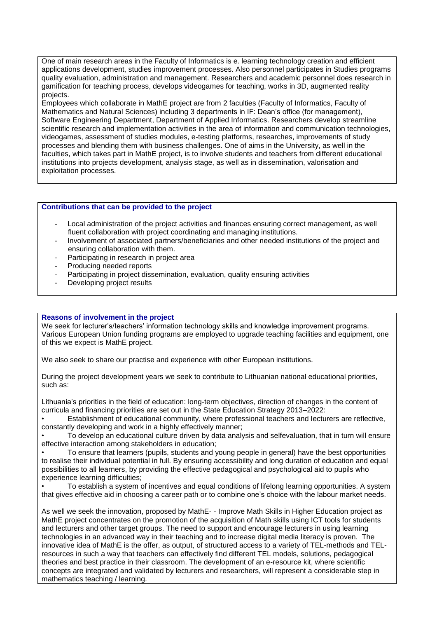One of main research areas in the Faculty of Informatics is e. learning technology creation and efficient applications development, studies improvement processes. Also personnel participates in Studies programs quality evaluation, administration and management. Researchers and academic personnel does research in gamification for teaching process, develops videogames for teaching, works in 3D, augmented reality projects.

Employees which collaborate in MathE project are from 2 faculties (Faculty of Informatics, Faculty of Mathematics and Natural Sciences) including 3 departments in IF: Dean's office (for management), Software Engineering Department, Department of Applied Informatics. Researchers develop streamline scientific research and implementation activities in the area of information and communication technologies, videogames, assessment of studies modules, e-testing platforms, researches, improvements of study processes and blending them with business challenges. One of aims in the University, as well in the faculties, which takes part in MathE project, is to involve students and teachers from different educational institutions into projects development, analysis stage, as well as in dissemination, valorisation and exploitation processes.

# **Contributions that can be provided to the project**

- Local administration of the project activities and finances ensuring correct management, as well fluent collaboration with project coordinating and managing institutions.
- Involvement of associated partners/beneficiaries and other needed institutions of the project and ensuring collaboration with them.
- Participating in research in project area
- Producing needed reports
- Participating in project dissemination, evaluation, quality ensuring activities
- Developing project results

## **Reasons of involvement in the project**

We seek for lecturer's/teachers' information technology skills and knowledge improvement programs. Various European Union funding programs are employed to upgrade teaching facilities and equipment, one of this we expect is MathE project.

We also seek to share our practise and experience with other European institutions.

During the project development years we seek to contribute to Lithuanian national educational priorities, such as:

Lithuania's priorities in the field of education: long-term objectives, direction of changes in the content of curricula and financing priorities are set out in the State Education Strategy 2013–2022:

• Establishment of educational community, where professional teachers and lecturers are reflective, constantly developing and work in a highly effectively manner;

• To develop an educational culture driven by data analysis and selfevaluation, that in turn will ensure effective interaction among stakeholders in education;

• To ensure that learners (pupils, students and young people in general) have the best opportunities to realise their individual potential in full. By ensuring accessibility and long duration of education and equal possibilities to all learners, by providing the effective pedagogical and psychological aid to pupils who experience learning difficulties;

• To establish a system of incentives and equal conditions of lifelong learning opportunities. A system that gives effective aid in choosing a career path or to combine one's choice with the labour market needs.

As well we seek the innovation, proposed by MathE- - Improve Math Skills in Higher Education project as MathE project concentrates on the promotion of the acquisition of Math skills using ICT tools for students and lecturers and other target groups. The need to support and encourage lecturers in using learning technologies in an advanced way in their teaching and to increase digital media literacy is proven. The innovative idea of MathE is the offer, as output, of structured access to a variety of TEL-methods and TELresources in such a way that teachers can effectively find different TEL models, solutions, pedagogical theories and best practice in their classroom. The development of an e-resource kit, where scientific concepts are integrated and validated by lecturers and researchers, will represent a considerable step in mathematics teaching / learning.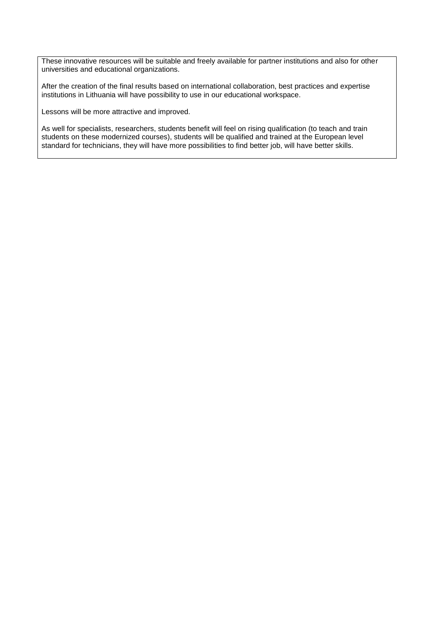These innovative resources will be suitable and freely available for partner institutions and also for other universities and educational organizations.

After the creation of the final results based on international collaboration, best practices and expertise institutions in Lithuania will have possibility to use in our educational workspace.

Lessons will be more attractive and improved.

As well for specialists, researchers, students benefit will feel on rising qualification (to teach and train students on these modernized courses), students will be qualified and trained at the European level standard for technicians, they will have more possibilities to find better job, will have better skills.